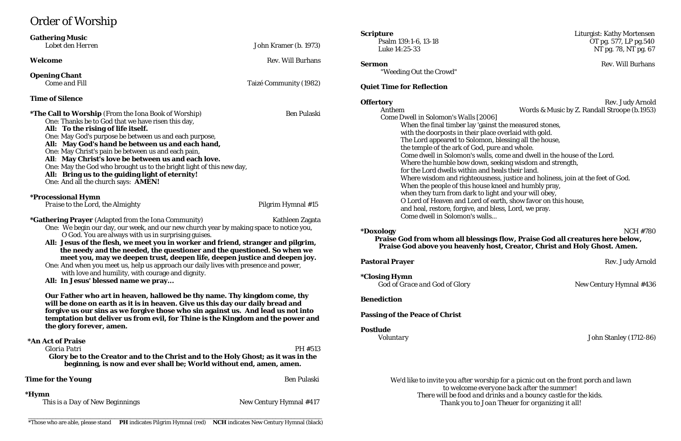# Order of Worship

**\*Doxology** NCH #780 **Praise God from whom all blessings flow, Praise God all creatures here below, Praise God above Set and Holy Ghost. Amen.** 

**Rev. Judy Arnold** 

New Century Hymnal #436

|                                                                                                                                                                                                                                                                                                                                    |                                                                      | <b>Scripture</b>                                                  |
|------------------------------------------------------------------------------------------------------------------------------------------------------------------------------------------------------------------------------------------------------------------------------------------------------------------------------------|----------------------------------------------------------------------|-------------------------------------------------------------------|
| <b>Gathering Music</b><br>Lobet den Herren                                                                                                                                                                                                                                                                                         | John Kramer (b. 1973)                                                | Psalm 139:1-6, 13-18                                              |
|                                                                                                                                                                                                                                                                                                                                    |                                                                      | Luke 14:25-33                                                     |
| Welcome                                                                                                                                                                                                                                                                                                                            | <b>Rev. Will Burhans</b>                                             | <b>Sermon</b>                                                     |
| <b>Opening Chant</b>                                                                                                                                                                                                                                                                                                               |                                                                      | "Weeding Out the Crowd"                                           |
| <b>Come and Fill</b>                                                                                                                                                                                                                                                                                                               | Taizé Community (1982)                                               | <b>Quiet Time for Reflection</b>                                  |
| <b>Time of Silence</b>                                                                                                                                                                                                                                                                                                             |                                                                      | <b>Offertory</b>                                                  |
| <b>*The Call to Worship</b> (From the Iona Book of Worship)                                                                                                                                                                                                                                                                        | <b>Ben Pulaski</b>                                                   | Anthem                                                            |
| One: Thanks be to God that we have risen this day,                                                                                                                                                                                                                                                                                 |                                                                      | Come Dwell in Solomon's Walls [2006]                              |
| All: To the rising of life itself.                                                                                                                                                                                                                                                                                                 |                                                                      | When the final timber lay 'gainst                                 |
| One: May God's purpose be between us and each purpose,                                                                                                                                                                                                                                                                             |                                                                      | with the doorposts in their place                                 |
| All: May God's hand be between us and each hand,                                                                                                                                                                                                                                                                                   |                                                                      | The Lord appeared to Solomon, I                                   |
| One: May Christ's pain be between us and each pain,                                                                                                                                                                                                                                                                                |                                                                      | the temple of the ark of God, pur                                 |
| All: May Christ's love be between us and each love.                                                                                                                                                                                                                                                                                |                                                                      | Come dwell in Solomon's walls, o<br>Where the humble bow down, se |
|                                                                                                                                                                                                                                                                                                                                    | One: May the God who brought us to the bright light of this new day, |                                                                   |
| All: Bring us to the guiding light of eternity!                                                                                                                                                                                                                                                                                    |                                                                      | for the Lord dwells within and he                                 |
| One: And all the church says: AMEN!                                                                                                                                                                                                                                                                                                |                                                                      | Where wisdom and righteousnes                                     |
|                                                                                                                                                                                                                                                                                                                                    |                                                                      | When the people of this house kr                                  |
| <i><b>*Processional Hymn</b></i>                                                                                                                                                                                                                                                                                                   |                                                                      | when they turn from dark to ligh                                  |
| Praise to the Lord, the Almighty                                                                                                                                                                                                                                                                                                   | Pilgrim Hymnal #15                                                   | O Lord of Heaven and Lord of ea                                   |
|                                                                                                                                                                                                                                                                                                                                    |                                                                      | and heal, restore, forgive, and ble                               |
| *Gathering Prayer (Adapted from the Iona Community)<br>Kathleen Zagata                                                                                                                                                                                                                                                             |                                                                      | Come dwell in Solomon's walls                                     |
| One: We begin our day, our week, and our new church year by making space to notice you,                                                                                                                                                                                                                                            |                                                                      |                                                                   |
| O God. You are always with us in surprising guises.                                                                                                                                                                                                                                                                                |                                                                      | <i>*Doxology</i>                                                  |
| All: Jesus of the flesh, we meet you in worker and friend, stranger and pilgrim,<br>the needy and the needed, the questioner and the questioned. So when we<br>meet you, may we deepen trust, deepen life, deepen justice and deepen joy.                                                                                          |                                                                      | <b>Praise God from whom all blessings</b>                         |
|                                                                                                                                                                                                                                                                                                                                    |                                                                      | <b>Praise God above you heavenly hose</b>                         |
|                                                                                                                                                                                                                                                                                                                                    |                                                                      |                                                                   |
| One: And when you meet us, help us approach our daily lives with presence and power,                                                                                                                                                                                                                                               |                                                                      | <b>Pastoral Prayer</b>                                            |
| with love and humility, with courage and dignity.                                                                                                                                                                                                                                                                                  |                                                                      |                                                                   |
| All: In Jesus' blessed name we pray                                                                                                                                                                                                                                                                                                |                                                                      | <i><b>*Closing Hymn</b></i>                                       |
|                                                                                                                                                                                                                                                                                                                                    |                                                                      | God of Grace and God of Glory                                     |
| Our Father who art in heaven, hallowed be thy name. Thy kingdom come, thy<br>will be done on earth as it is in heaven. Give us this day our daily bread and<br>forgive us our sins as we forgive those who sin against us. And lead us not into<br>temptation but deliver us from evil, for Thine is the Kingdom and the power and |                                                                      | <b>Benediction</b>                                                |
|                                                                                                                                                                                                                                                                                                                                    |                                                                      |                                                                   |
|                                                                                                                                                                                                                                                                                                                                    |                                                                      | <b>Passing of the Peace of Christ</b>                             |
|                                                                                                                                                                                                                                                                                                                                    |                                                                      |                                                                   |
| the glory forever, amen.                                                                                                                                                                                                                                                                                                           |                                                                      | <b>Postlude</b>                                                   |
| *An Act of Praise                                                                                                                                                                                                                                                                                                                  |                                                                      | Voluntary                                                         |
| Gloria Patri                                                                                                                                                                                                                                                                                                                       | PH #513                                                              |                                                                   |
|                                                                                                                                                                                                                                                                                                                                    |                                                                      |                                                                   |
| Glory be to the Creator and to the Christ and to the Holy Ghost; as it was in the<br>beginning, is now and ever shall be; World without end, amen, amen.                                                                                                                                                                           |                                                                      |                                                                   |
| <b>Time for the Young</b>                                                                                                                                                                                                                                                                                                          | <b>Ben Pulaski</b>                                                   | We'd like to invite you after worship                             |
|                                                                                                                                                                                                                                                                                                                                    |                                                                      | to welcome every                                                  |
| *Hymn                                                                                                                                                                                                                                                                                                                              |                                                                      | There will be food and drin                                       |
| This is a Day of New Beginnings                                                                                                                                                                                                                                                                                                    | New Century Hymnal #417                                              | Thank you to Joan                                                 |
|                                                                                                                                                                                                                                                                                                                                    |                                                                      |                                                                   |

*Voluntary* John Stanley (1712-86)

*We'd like to invite you after worship for a picnic out on the front porch and lawn to welcome everyone back after the summer!*  $\tilde{r}$ inks and a bouncy castle for the kids. *Thank you to Joan Theuer for organizing it all!*

**Liturgist: Kathy Mortensen**  $\overline{O}T$  pg. 577, LP pg. 540 NT pg. 78, NT pg. 67

**Rev. Will Burhans** 

**Rev. Judy Arnold** Words & Music by Z. Randall Stroope (b.1953)

st the measured stones, e overlaid with gold. , blessing all the house, tre and whole. come and dwell in the house of the Lord. seeking wisdom and strength, heals their land. ess, justice and holiness, join at the feet of God. kneel and humbly pray, ght and your will obey, earth, show favor on this house,

bless, Lord, we pray.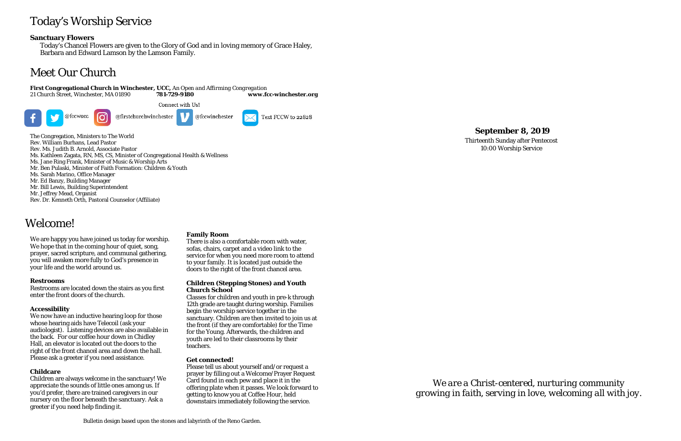# Today's Worship Service

### **Sanctuary Flowers**

Today's Chancel Flowers are given to the Glory of God and in loving memory of Grace Haley, Barbara and Edward Lamson by the Lamson Family.

# Meet Our Church

**First Congregational Church in Winchester, UCC,** *An Open and Affirming Congregation*



The Congregation, Ministers to The World Rev. William Burhans, Lead Pastor Rev. Ms. Judith B. Arnold, Associate Pastor Ms. Kathleen Zagata, RN, MS, CS, Minister of Congregational Health & Wellness Ms. Jane Ring Frank, Minister of Music & Worship Arts Mr. Ben Pulaski, Minister of Faith Formation: Children & Youth Ms. Sarah Marino, Office Manager Mr. Ed Banzy, Building Manager Mr. Bill Lewis, Building Superintendent Mr. Jeffrey Mead, Organist Rev. Dr. Kenneth Orth, Pastoral Counselor (Affiliate)

### **September 8, 2019**

Thirteenth Sunday after Pentecost 10:00 Worship Service

Welcome!

We are happy you have joined us today for worship. We hope that in the coming hour of quiet, song, prayer, sacred scripture, and communal gathering, you will awaken more fully to God's presence in your life and the world around us.

### **Restrooms**

Restrooms are located down the stairs as you first enter the front doors of the church.

### **Accessibility**

We now have an inductive hearing loop for those whose hearing aids have Telecoil (ask your audiologist). Listening devices are also available in the back. For our coffee hour down in Chidley Hall, an elevator is located out the doors to the right of the front chancel area and down the hall. Please ask a greeter if you need assistance.

### **Childcare**

Children are always welcome in the sanctuary! We appreciate the sounds of little ones among us. If you'd prefer, there are trained caregivers in our nursery on the floor beneath the sanctuary. Ask a greeter if you need help finding it.

### **Family Room**

There is also a comfortable room with water, sofas, chairs, carpet and a video link to the service for when you need more room to attend to your family. It is located just outside the doors to the right of the front chancel area.

### **Children (Stepping Stones) and Youth Church School**

Classes for children and youth in pre-k through 12th grade are taught during worship. Families begin the worship service together in the sanctuary. Children are then invited to join us at the front (if they are comfortable) for the Time for the Young. Afterwards, the children and youth are led to their classrooms by their teachers.

### **Get connected!**

Please tell us about yourself and/or request a prayer by filling out a Welcome/Prayer Request Card found in each pew and place it in the offering plate when it passes. We look forward to getting to know you at Coffee Hour, held downstairs immediately following the service.

*We are a Christ-centered, nurturing community growing in faith, serving in love, welcoming all with joy.*